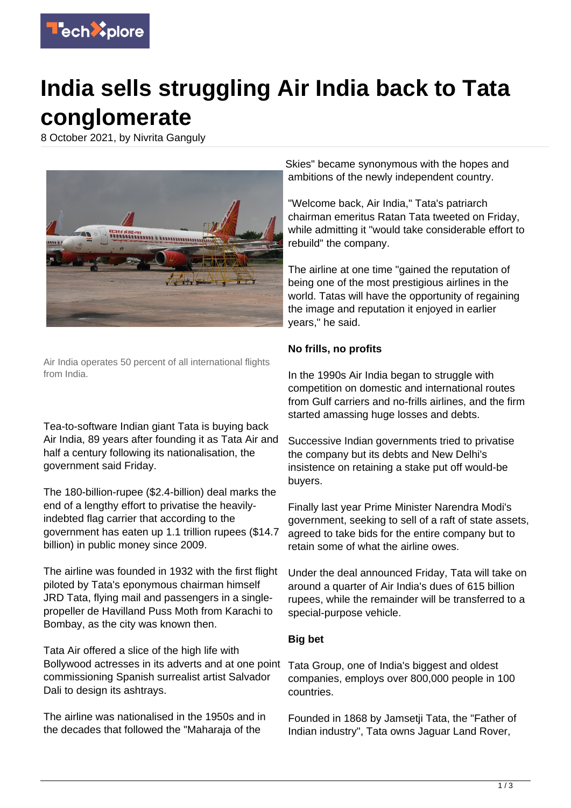

## **India sells struggling Air India back to Tata conglomerate**

8 October 2021, by Nivrita Ganguly



Air India operates 50 percent of all international flights from India.

## Tea-to-software Indian giant Tata is buying back Air India, 89 years after founding it as Tata Air and half a century following its nationalisation, the government said Friday.

The 180-billion-rupee (\$2.4-billion) deal marks the end of a lengthy effort to privatise the heavilyindebted flag carrier that according to the government has eaten up 1.1 trillion rupees (\$14.7 billion) in public money since 2009.

The airline was founded in 1932 with the first flight piloted by Tata's eponymous chairman himself JRD Tata, flying mail and passengers in a singlepropeller de Havilland Puss Moth from Karachi to Bombay, as the city was known then.

Tata Air offered a slice of the high life with Bollywood actresses in its adverts and at one point commissioning Spanish surrealist artist Salvador Dali to design its ashtrays.

The airline was nationalised in the 1950s and in the decades that followed the "Maharaja of the

Skies" became synonymous with the hopes and ambitions of the newly independent country.

"Welcome back, Air India," Tata's patriarch chairman emeritus Ratan Tata tweeted on Friday, while admitting it "would take considerable effort to rebuild" the company.

The airline at one time "gained the reputation of being one of the most prestigious airlines in the world. Tatas will have the opportunity of regaining the image and reputation it enjoyed in earlier years," he said.

## **No frills, no profits**

In the 1990s Air India began to struggle with competition on domestic and international routes from Gulf carriers and no-frills airlines, and the firm started amassing huge losses and debts.

Successive Indian governments tried to privatise the company but its debts and New Delhi's insistence on retaining a stake put off would-be buyers.

Finally last year Prime Minister Narendra Modi's government, seeking to sell of a raft of state assets, agreed to take bids for the entire company but to retain some of what the airline owes.

Under the deal announced Friday, Tata will take on around a quarter of Air India's dues of 615 billion rupees, while the remainder will be transferred to a special-purpose vehicle.

## **Big bet**

Tata Group, one of India's biggest and oldest companies, employs over 800,000 people in 100 countries.

Founded in 1868 by Jamsetji Tata, the "Father of Indian industry", Tata owns Jaguar Land Rover,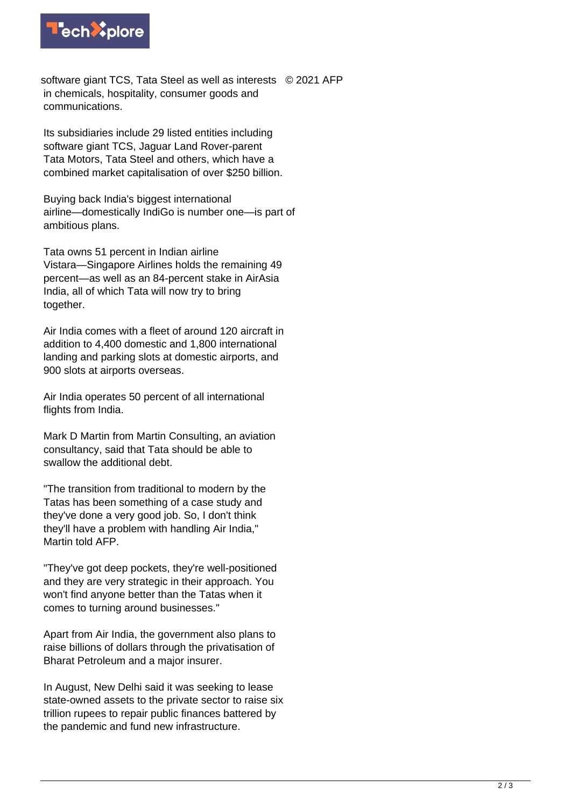

software giant TCS, Tata Steel as well as interests © 2021 AFP in chemicals, hospitality, consumer goods and communications.

Its subsidiaries include 29 listed entities including software giant TCS, Jaguar Land Rover-parent Tata Motors, Tata Steel and others, which have a combined market capitalisation of over \$250 billion.

Buying back India's biggest international airline—domestically IndiGo is number one—is part of ambitious plans.

Tata owns 51 percent in Indian airline Vistara—Singapore Airlines holds the remaining 49 percent—as well as an 84-percent stake in AirAsia India, all of which Tata will now try to bring together.

Air India comes with a fleet of around 120 aircraft in addition to 4,400 domestic and 1,800 international landing and parking slots at domestic airports, and 900 slots at airports overseas.

Air India operates 50 percent of all international flights from India.

Mark D Martin from Martin Consulting, an aviation consultancy, said that Tata should be able to swallow the additional debt.

"The transition from traditional to modern by the Tatas has been something of a case study and they've done a very good job. So, I don't think they'll have a problem with handling Air India," Martin told AFP.

"They've got deep pockets, they're well-positioned and they are very strategic in their approach. You won't find anyone better than the Tatas when it comes to turning around businesses."

Apart from Air India, the government also plans to raise billions of dollars through the privatisation of Bharat Petroleum and a major insurer.

In August, New Delhi said it was seeking to lease state-owned assets to the private sector to raise six trillion rupees to repair public finances battered by the pandemic and fund new infrastructure.